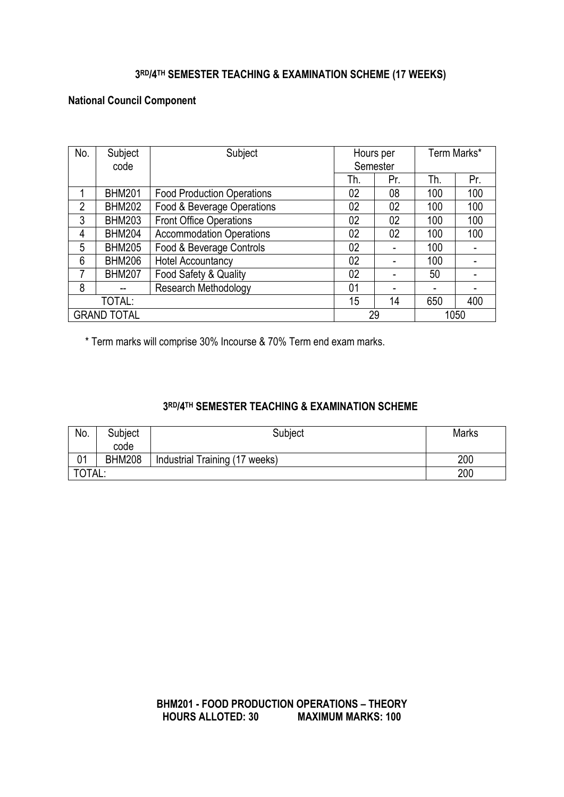# **3 RD/4TH SEMESTER TEACHING & EXAMINATION SCHEME (17 WEEKS)**

# **National Council Component**

| No.            | Subject<br>code    | Subject                           | Hours per<br>Semester |     | Term Marks* |      |
|----------------|--------------------|-----------------------------------|-----------------------|-----|-------------|------|
|                |                    |                                   |                       |     |             |      |
|                |                    |                                   | Th.                   | Pr. | Th.         | Pr.  |
|                | <b>BHM201</b>      | <b>Food Production Operations</b> | 02                    | 08  | 100         | 100  |
| $\overline{2}$ | <b>BHM202</b>      | Food & Beverage Operations        | 02                    | 02  | 100         | 100  |
| 3              | <b>BHM203</b>      | <b>Front Office Operations</b>    | 02                    | 02  | 100         | 100  |
| 4              | <b>BHM204</b>      | <b>Accommodation Operations</b>   | 02                    | 02  | 100         | 100  |
| 5              | <b>BHM205</b>      | Food & Beverage Controls          | 02                    | -   | 100         |      |
| 6              | <b>BHM206</b>      | <b>Hotel Accountancy</b>          | 02                    |     | 100         |      |
| 7              | <b>BHM207</b>      | Food Safety & Quality             | 02                    |     | 50          |      |
| 8              |                    | <b>Research Methodology</b>       | 01                    | -   | -           |      |
|                | TOTAL:             |                                   | 15                    | 14  | 650         | 400  |
|                | <b>GRAND TOTAL</b> |                                   | 29                    |     |             | 1050 |

\* Term marks will comprise 30% Incourse & 70% Term end exam marks.

## **3 RD/4TH SEMESTER TEACHING & EXAMINATION SCHEME**

| No.    | Subject<br>code | Subject                        | <b>Marks</b> |
|--------|-----------------|--------------------------------|--------------|
| 01     | <b>BHM208</b>   | Industrial Training (17 weeks) | 200          |
| TOTAL: |                 |                                | 200          |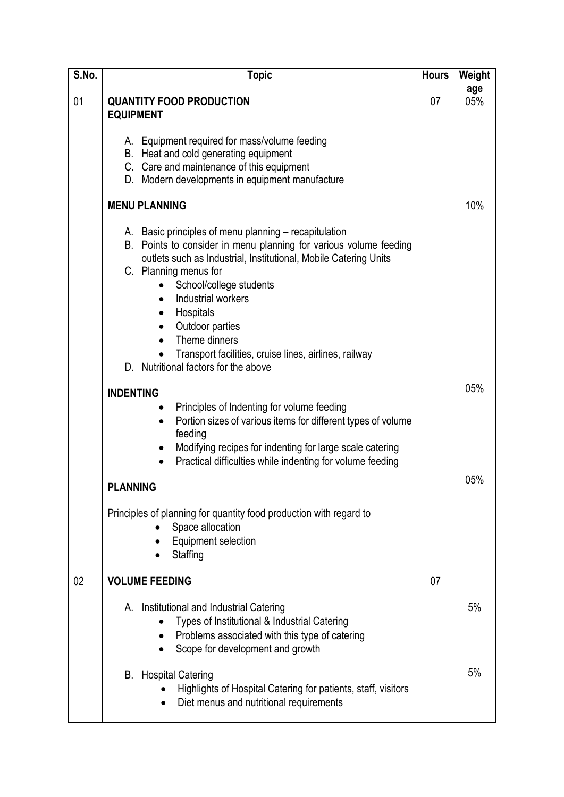| S.No. | <b>Topic</b>                                                                                                                                                                                                                                                                                                                                                                                                               | <b>Hours</b> | Weight |
|-------|----------------------------------------------------------------------------------------------------------------------------------------------------------------------------------------------------------------------------------------------------------------------------------------------------------------------------------------------------------------------------------------------------------------------------|--------------|--------|
|       |                                                                                                                                                                                                                                                                                                                                                                                                                            |              | age    |
| 01    | <b>QUANTITY FOOD PRODUCTION</b><br><b>EQUIPMENT</b>                                                                                                                                                                                                                                                                                                                                                                        | 07           | 05%    |
|       | A. Equipment required for mass/volume feeding<br>B. Heat and cold generating equipment<br>C. Care and maintenance of this equipment<br>D. Modern developments in equipment manufacture                                                                                                                                                                                                                                     |              |        |
|       | <b>MENU PLANNING</b>                                                                                                                                                                                                                                                                                                                                                                                                       |              | 10%    |
|       | A. Basic principles of menu planning – recapitulation<br>B. Points to consider in menu planning for various volume feeding<br>outlets such as Industrial, Institutional, Mobile Catering Units<br>C. Planning menus for<br>School/college students<br>Industrial workers<br>Hospitals<br>Outdoor parties<br>Theme dinners<br>Transport facilities, cruise lines, airlines, railway<br>D. Nutritional factors for the above |              |        |
|       | <b>INDENTING</b>                                                                                                                                                                                                                                                                                                                                                                                                           |              | 05%    |
|       | Principles of Indenting for volume feeding<br>Portion sizes of various items for different types of volume<br>$\bullet$<br>feeding<br>Modifying recipes for indenting for large scale catering<br>Practical difficulties while indenting for volume feeding<br>$\bullet$                                                                                                                                                   |              |        |
|       | <b>PLANNING</b>                                                                                                                                                                                                                                                                                                                                                                                                            |              | 05%    |
|       | Principles of planning for quantity food production with regard to<br>Space allocation<br><b>Equipment selection</b><br>Staffing                                                                                                                                                                                                                                                                                           |              |        |
| 02    | <b>VOLUME FEEDING</b>                                                                                                                                                                                                                                                                                                                                                                                                      | 07           |        |
|       | Institutional and Industrial Catering<br>А.<br>Types of Institutional & Industrial Catering<br>Problems associated with this type of catering<br>Scope for development and growth                                                                                                                                                                                                                                          |              | 5%     |
|       | <b>Hospital Catering</b><br>В.<br>Highlights of Hospital Catering for patients, staff, visitors<br>Diet menus and nutritional requirements                                                                                                                                                                                                                                                                                 |              | 5%     |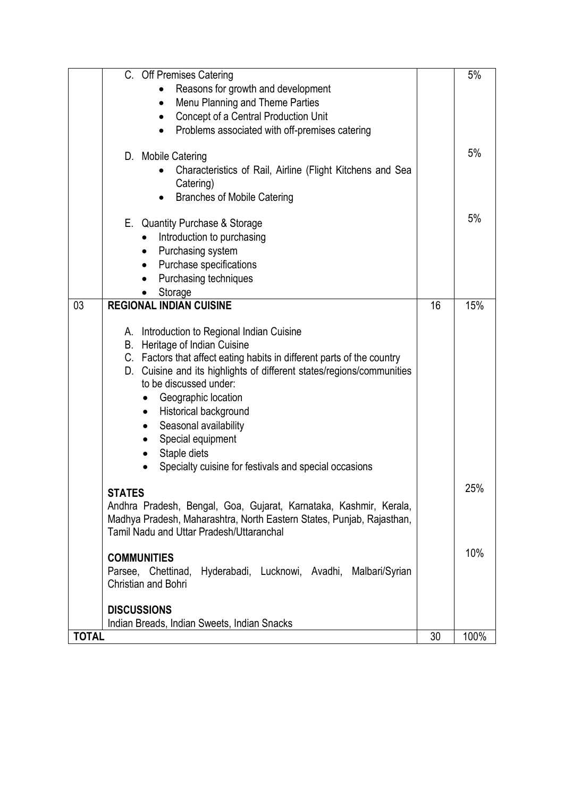|              | C. Off Premises Catering<br>Reasons for growth and development<br>Menu Planning and Theme Parties<br>$\bullet$<br>Concept of a Central Production Unit<br>Problems associated with off-premises catering<br>$\bullet$                                                                            |    | 5%   |
|--------------|--------------------------------------------------------------------------------------------------------------------------------------------------------------------------------------------------------------------------------------------------------------------------------------------------|----|------|
|              | D. Mobile Catering<br>Characteristics of Rail, Airline (Flight Kitchens and Sea<br>Catering)<br><b>Branches of Mobile Catering</b>                                                                                                                                                               |    | 5%   |
|              | E. Quantity Purchase & Storage<br>Introduction to purchasing<br>Purchasing system<br>$\bullet$<br>Purchase specifications<br>$\bullet$<br>Purchasing techniques<br>Storage                                                                                                                       |    | 5%   |
| 03           | <b>REGIONAL INDIAN CUISINE</b><br>A. Introduction to Regional Indian Cuisine<br>B. Heritage of Indian Cuisine<br>C. Factors that affect eating habits in different parts of the country                                                                                                          | 16 | 15%  |
|              | D. Cuisine and its highlights of different states/regions/communities<br>to be discussed under:<br>Geographic location<br>Historical background<br>$\bullet$<br>Seasonal availability<br>$\bullet$<br>Special equipment<br>Staple diets<br>Specialty cuisine for festivals and special occasions |    |      |
|              | <b>STATES</b><br>Andhra Pradesh, Bengal, Goa, Gujarat, Karnataka, Kashmir, Kerala,<br>Madhya Pradesh, Maharashtra, North Eastern States, Punjab, Rajasthan,<br>Tamil Nadu and Uttar Pradesh/Uttaranchal                                                                                          |    | 25%  |
|              | <b>COMMUNITIES</b><br>Parsee, Chettinad, Hyderabadi, Lucknowi, Avadhi, Malbari/Syrian<br><b>Christian and Bohri</b>                                                                                                                                                                              |    | 10%  |
|              | <b>DISCUSSIONS</b><br>Indian Breads, Indian Sweets, Indian Snacks                                                                                                                                                                                                                                |    |      |
| <b>TOTAL</b> |                                                                                                                                                                                                                                                                                                  | 30 | 100% |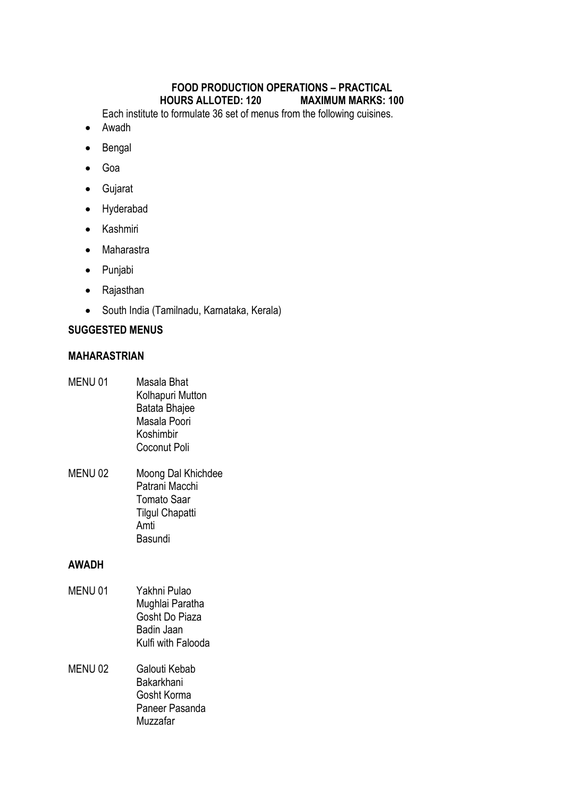# **FOOD PRODUCTION OPERATIONS – PRACTICAL HOURS ALLOTED: 120**

Each institute to formulate 36 set of menus from the following cuisines.

- Awadh
- Bengal
- Goa
- Gujarat
- Hyderabad
- Kashmiri
- Maharastra
- Punjabi
- Rajasthan
- South India (Tamilnadu, Karnataka, Kerala)

# **SUGGESTED MENUS**

# **MAHARASTRIAN**

- MENU 01 Masala Bhat Kolhapuri Mutton Batata Bhajee Masala Poori Koshimbir Coconut Poli
- MENU 02 Moong Dal Khichdee Patrani Macchi Tomato Saar Tilgul Chapatti Amti Basundi

# **AWADH**

- MENU 01 Yakhni Pulao Mughlai Paratha Gosht Do Piaza Badin Jaan Kulfi with Falooda
- MENU 02 Galouti Kebab Bakarkhani Gosht Korma Paneer Pasanda Muzzafar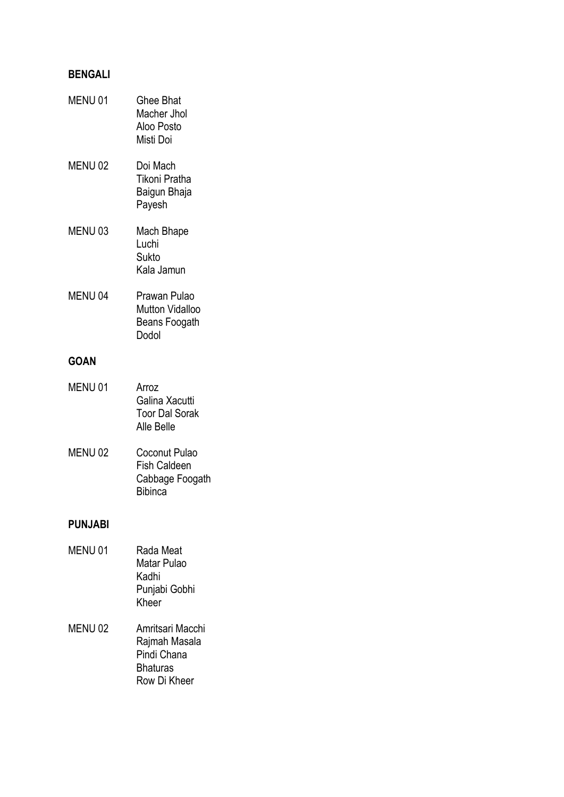# **BENGALI**

| MENU <sub>01</sub> | <b>Ghee Bhat</b><br>Macher Jhol<br>Aloo Posto<br>Misti Doi     |
|--------------------|----------------------------------------------------------------|
| MENU <sub>02</sub> | Doi Mach<br>Tikoni Pratha<br>Baigun Bhaja<br>Payesh            |
| MENU 03            | Mach Bhape<br>Luchi<br>Sukto<br>Kala Jamun                     |
| MENU <sub>04</sub> | Prawan Pulao<br>Mutton Vidalloo<br>Beans Foogath<br>Dodol      |
| <b>GOAN</b>        |                                                                |
| MENU 01            | Arroz<br>Galina Xacutti<br><b>Toor Dal Sorak</b><br>Alle Belle |
| <b>MENILOO</b>     | ہے ان دی گئی ہے۔                                               |

| MENU 02 | Coconut Pulao       |  |
|---------|---------------------|--|
|         | <b>Fish Caldeen</b> |  |
|         | Cabbage Foogath     |  |
|         | <b>Bibinca</b>      |  |

# **PUNJABI**

| MENU <sub>01</sub> | Rada Meat<br>Matar Pulao<br>Kadhi<br>Punjabi Gobhi<br>Kheer         |
|--------------------|---------------------------------------------------------------------|
| MENU <sub>02</sub> | Amritsari Macchi<br>Rajmah Masala<br>Pindi Chana<br><b>Bhaturas</b> |

Row Di Kheer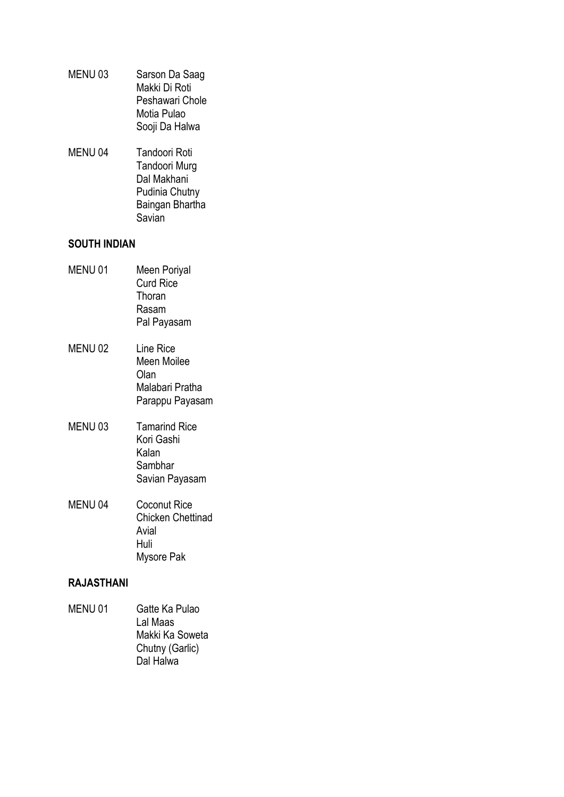- MENU 03 Sarson Da Saag Makki Di Roti Peshawari Chole Motia Pulao Sooji Da Halwa
- MENU 04 Tandoori Roti Tandoori Murg Dal Makhani Pudinia Chutny Baingan Bhartha Savian

# **SOUTH INDIAN**

| MENU 01            | Meen Poriyal<br><b>Curd Rice</b><br>Thoran<br>Rasam<br>Pal Payasam             |
|--------------------|--------------------------------------------------------------------------------|
| MENU 02            | Line Rice<br>Meen Moilee<br>Olan<br>Malabari Pratha<br>Parappu Payasam         |
| MENU <sub>03</sub> | <b>Tamarind Rice</b><br>Kori Gashi<br>Kalan<br>Sambhar<br>Savian Payasam       |
| MENU <sub>04</sub> | <b>Coconut Rice</b><br><b>Chicken Chettinad</b><br>Avial<br>Huli<br>Mysore Pak |

# **RAJASTHANI**

MENU 01 Gatte Ka Pulao Lal Maas Makki Ka Soweta Chutny (Garlic) Dal Halwa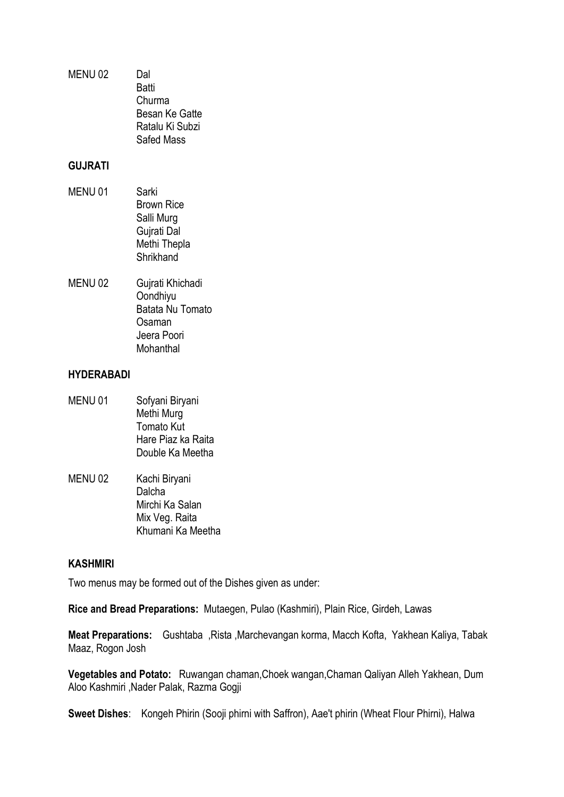MENU 02 Dal **Batti** Churma Besan Ke Gatte Ratalu Ki Subzi Safed Mass

#### **GUJRATI**

- MENU 01 Sarki Brown Rice Salli Murg Gujrati Dal Methi Thepla **Shrikhand**
- MENU 02 Gujrati Khichadi Oondhiyu Batata Nu Tomato Osaman Jeera Poori Mohanthal

#### **HYDERABADI**

- MENU 01 Sofyani Biryani Methi Murg Tomato Kut Hare Piaz ka Raita Double Ka Meetha
- MENU 02 Kachi Biryani Dalcha Mirchi Ka Salan Mix Veg. Raita Khumani Ka Meetha

## **KASHMIRI**

Two menus may be formed out of the Dishes given as under:

**Rice and Bread Preparations:** Mutaegen, Pulao (Kashmiri), Plain Rice, Girdeh, Lawas

**Meat Preparations:** Gushtaba ,Rista ,Marchevangan korma, Macch Kofta, Yakhean Kaliya, Tabak Maaz, Rogon Josh

**Vegetables and Potato:** Ruwangan chaman,Choek wangan,Chaman Qaliyan Alleh Yakhean, Dum Aloo Kashmiri ,Nader Palak, Razma Gogji

**Sweet Dishes**: Kongeh Phirin (Sooji phirni with Saffron), Aae't phirin (Wheat Flour Phirni), Halwa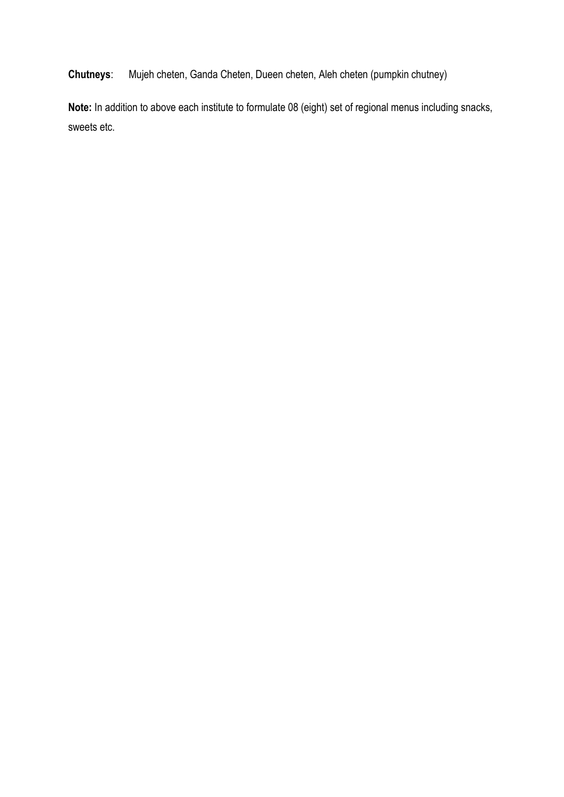**Chutneys**: Mujeh cheten, Ganda Cheten, Dueen cheten, Aleh cheten (pumpkin chutney)

**Note:** In addition to above each institute to formulate 08 (eight) set of regional menus including snacks, sweets etc.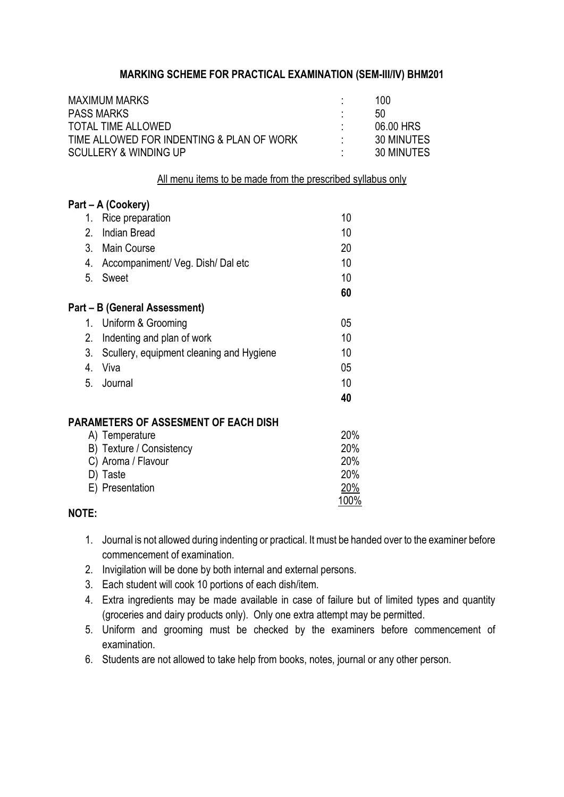# **MARKING SCHEME FOR PRACTICAL EXAMINATION (SEM-III/IV) BHM201**

|    | <b>MAXIMUM MARKS</b><br><b>PASS MARKS</b>                                     |              | 100<br>50                |
|----|-------------------------------------------------------------------------------|--------------|--------------------------|
|    | <b>TOTAL TIME ALLOWED</b>                                                     |              | 06.00 HRS                |
|    | TIME ALLOWED FOR INDENTING & PLAN OF WORK<br><b>SCULLERY &amp; WINDING UP</b> |              | 30 MINUTES<br>30 MINUTES |
|    |                                                                               |              |                          |
|    | All menu items to be made from the prescribed syllabus only                   |              |                          |
|    | Part – A (Cookery)                                                            |              |                          |
|    | 1. Rice preparation                                                           | 10           |                          |
| 2. | <b>Indian Bread</b>                                                           | 10           |                          |
|    | 3. Main Course                                                                | 20           |                          |
|    | 4. Accompaniment/ Veg. Dish/ Dal etc                                          | 10           |                          |
| 5. | Sweet                                                                         | 10           |                          |
|    |                                                                               | 60           |                          |
|    | Part – B (General Assessment)                                                 |              |                          |
|    | 1. Uniform & Grooming                                                         | 05           |                          |
| 2. | Indenting and plan of work                                                    | 10           |                          |
| 3. | Scullery, equipment cleaning and Hygiene                                      | 10           |                          |
| 4. | Viva                                                                          | 05           |                          |
| 5. | Journal                                                                       | 10           |                          |
|    |                                                                               | 40           |                          |
|    | <b>PARAMETERS OF ASSESMENT OF EACH DISH</b>                                   |              |                          |
|    | A) Temperature                                                                | 20%          |                          |
|    | B) Texture / Consistency                                                      | 20%          |                          |
|    | C) Aroma / Flavour                                                            | 20%          |                          |
|    | D) Taste                                                                      | 20%          |                          |
|    | E) Presentation                                                               | 20%          |                          |
|    |                                                                               | <u> 100%</u> |                          |

## **NOTE:**

- 1. Journal is not allowed during indenting or practical. It must be handed over to the examiner before commencement of examination.
- 2. Invigilation will be done by both internal and external persons.
- 3. Each student will cook 10 portions of each dish/item.
- 4. Extra ingredients may be made available in case of failure but of limited types and quantity (groceries and dairy products only). Only one extra attempt may be permitted.
- 5. Uniform and grooming must be checked by the examiners before commencement of examination.
- 6. Students are not allowed to take help from books, notes, journal or any other person.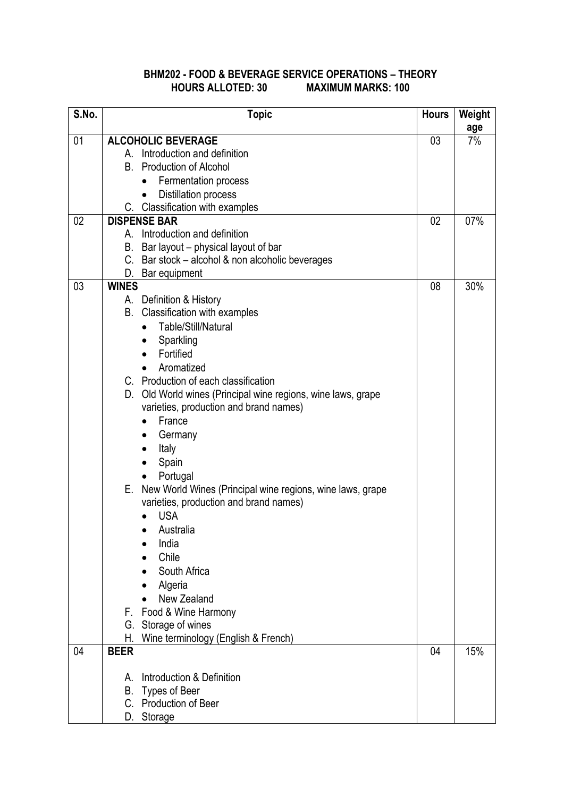# **BHM202 - FOOD & BEVERAGE SERVICE OPERATIONS – THEORY HOURS ALLOTED: 30 MAXIMUM MARKS: 100**

| S.No. | <b>Topic</b>                                                 | <b>Hours</b> | Weight    |
|-------|--------------------------------------------------------------|--------------|-----------|
| 01    | <b>ALCOHOLIC BEVERAGE</b>                                    | 03           | age<br>7% |
|       | A. Introduction and definition                               |              |           |
|       | <b>Production of Alcohol</b><br>В.                           |              |           |
|       | Fermentation process<br>$\bullet$                            |              |           |
|       | <b>Distillation process</b><br>$\bullet$                     |              |           |
|       | C. Classification with examples                              |              |           |
| 02    | <b>DISPENSE BAR</b>                                          | 02           | 07%       |
|       | A. Introduction and definition                               |              |           |
|       | Bar layout – physical layout of bar<br>В.                    |              |           |
|       | C. Bar stock - alcohol & non alcoholic beverages             |              |           |
|       | D. Bar equipment                                             |              |           |
| 03    | <b>WINES</b>                                                 | 08           | 30%       |
|       | A. Definition & History                                      |              |           |
|       | B. Classification with examples                              |              |           |
|       | Table/Still/Natural<br>$\bullet$                             |              |           |
|       | Sparkling<br>$\bullet$                                       |              |           |
|       | Fortified<br>$\bullet$                                       |              |           |
|       | Aromatized<br>$\bullet$                                      |              |           |
|       | C. Production of each classification                         |              |           |
|       | D. Old World wines (Principal wine regions, wine laws, grape |              |           |
|       | varieties, production and brand names)                       |              |           |
|       | France                                                       |              |           |
|       | Germany                                                      |              |           |
|       | Italy                                                        |              |           |
|       | Spain                                                        |              |           |
|       | Portugal                                                     |              |           |
|       | E. New World Wines (Principal wine regions, wine laws, grape |              |           |
|       | varieties, production and brand names)                       |              |           |
|       | <b>USA</b><br>$\bullet$                                      |              |           |
|       | Australia                                                    |              |           |
|       | India                                                        |              |           |
|       | Chile                                                        |              |           |
|       | South Africa                                                 |              |           |
|       | Algeria                                                      |              |           |
|       | New Zealand                                                  |              |           |
|       | F. Food & Wine Harmony                                       |              |           |
|       | G. Storage of wines                                          |              |           |
|       | Wine terminology (English & French)<br>Н.                    |              |           |
| 04    | <b>BEER</b>                                                  | 04           | 15%       |
|       | Introduction & Definition<br>Α.                              |              |           |
|       | Types of Beer<br>В.                                          |              |           |
|       | C. Production of Beer                                        |              |           |
|       | D. Storage                                                   |              |           |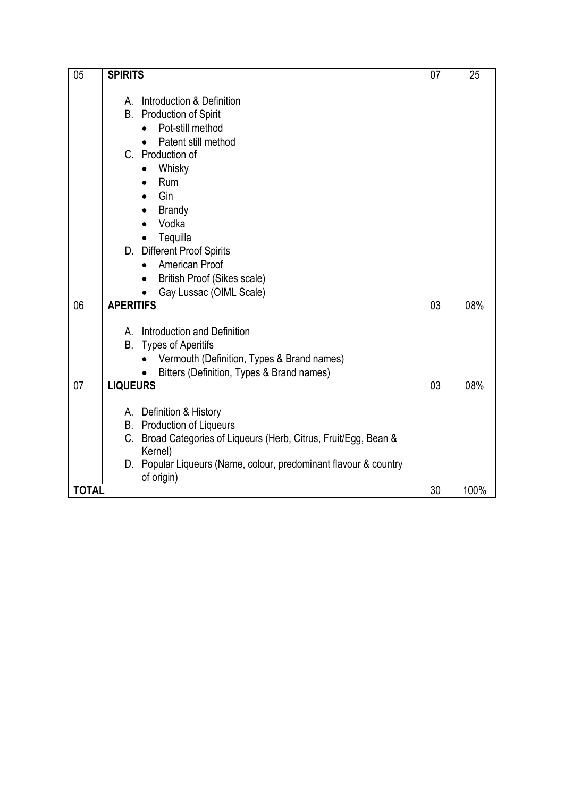| 05           | <b>SPIRITS</b>                                                      | 07 | 25   |
|--------------|---------------------------------------------------------------------|----|------|
|              |                                                                     |    |      |
|              | Introduction & Definition<br>A                                      |    |      |
|              | <b>Production of Spirit</b><br>В.                                   |    |      |
|              | Pot-still method                                                    |    |      |
|              | Patent still method                                                 |    |      |
|              | C. Production of                                                    |    |      |
|              | Whisky<br>$\bullet$                                                 |    |      |
|              | <b>Rum</b>                                                          |    |      |
|              | Gin<br>$\bullet$                                                    |    |      |
|              | <b>Brandy</b>                                                       |    |      |
|              | Vodka                                                               |    |      |
|              |                                                                     |    |      |
|              | Tequilla<br>D. Different Proof Spirits                              |    |      |
|              | American Proof                                                      |    |      |
|              |                                                                     |    |      |
|              | British Proof (Sikes scale)                                         |    |      |
|              | Gay Lussac (OIML Scale)                                             |    |      |
| 06           | <b>APERITIFS</b>                                                    | 03 | 08%  |
|              |                                                                     |    |      |
|              | A. Introduction and Definition                                      |    |      |
|              | <b>Types of Aperitifs</b><br>В.                                     |    |      |
|              | Vermouth (Definition, Types & Brand names)                          |    |      |
|              | Bitters (Definition, Types & Brand names)                           |    |      |
| 07           | <b>LIQUEURS</b>                                                     | 03 | 08%  |
|              |                                                                     |    |      |
|              | A. Definition & History                                             |    |      |
|              | <b>B.</b> Production of Liqueurs                                    |    |      |
|              | C.<br>Broad Categories of Liqueurs (Herb, Citrus, Fruit/Egg, Bean & |    |      |
|              | Kernel)                                                             |    |      |
|              | D. Popular Liqueurs (Name, colour, predominant flavour & country    |    |      |
|              | of origin)                                                          |    |      |
| <b>TOTAL</b> |                                                                     | 30 | 100% |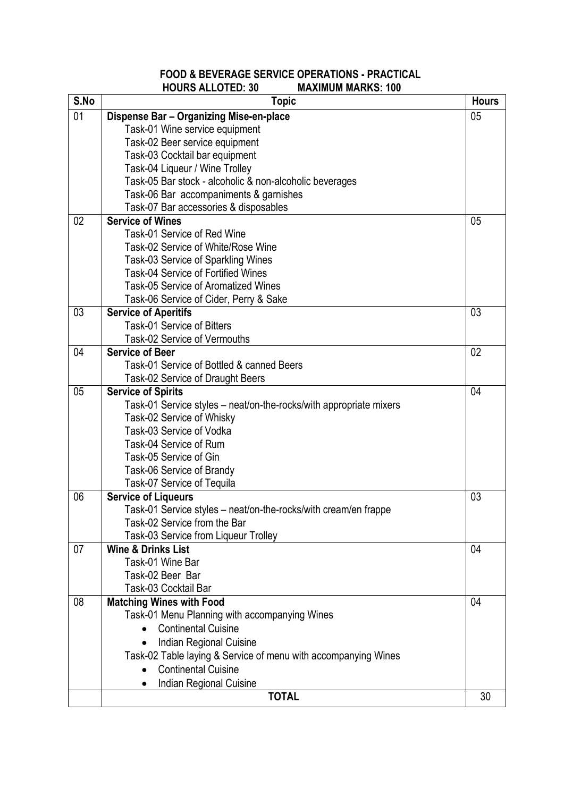# **FOOD & BEVERAGE SERVICE OPERATIONS - PRACTICAL HOURS ALLOTED: 30**

| S.No | <b>Topic</b>                                                                                    | <b>Hours</b> |
|------|-------------------------------------------------------------------------------------------------|--------------|
| 01   | Dispense Bar - Organizing Mise-en-place                                                         | 05           |
|      | Task-01 Wine service equipment                                                                  |              |
|      | Task-02 Beer service equipment                                                                  |              |
|      | Task-03 Cocktail bar equipment                                                                  |              |
|      | Task-04 Liqueur / Wine Trolley                                                                  |              |
|      | Task-05 Bar stock - alcoholic & non-alcoholic beverages                                         |              |
|      | Task-06 Bar accompaniments & garnishes                                                          |              |
|      | Task-07 Bar accessories & disposables                                                           |              |
| 02   | <b>Service of Wines</b>                                                                         | 05           |
|      | Task-01 Service of Red Wine                                                                     |              |
|      | Task-02 Service of White/Rose Wine                                                              |              |
|      | Task-03 Service of Sparkling Wines                                                              |              |
|      | <b>Task-04 Service of Fortified Wines</b>                                                       |              |
|      | <b>Task-05 Service of Aromatized Wines</b>                                                      |              |
|      | Task-06 Service of Cider, Perry & Sake                                                          |              |
| 03   | <b>Service of Aperitifs</b>                                                                     | 03           |
|      | <b>Task-01 Service of Bitters</b>                                                               |              |
|      | Task-02 Service of Vermouths                                                                    |              |
| 04   | <b>Service of Beer</b>                                                                          | 02           |
|      | Task-01 Service of Bottled & canned Beers                                                       |              |
|      | Task-02 Service of Draught Beers                                                                |              |
| 05   | <b>Service of Spirits</b>                                                                       | 04           |
|      | Task-01 Service styles - neat/on-the-rocks/with appropriate mixers                              |              |
|      | Task-02 Service of Whisky                                                                       |              |
|      | Task-03 Service of Vodka                                                                        |              |
|      | Task-04 Service of Rum                                                                          |              |
|      | Task-05 Service of Gin                                                                          |              |
|      | Task-06 Service of Brandy                                                                       |              |
|      | Task-07 Service of Tequila                                                                      |              |
| 06   | <b>Service of Liqueurs</b>                                                                      | 03           |
|      | Task-01 Service styles – neat/on-the-rocks/with cream/en frappe<br>Task-02 Service from the Bar |              |
|      |                                                                                                 |              |
| 07   | Task-03 Service from Liqueur Trolley<br><b>Wine &amp; Drinks List</b>                           | 04           |
|      | Task-01 Wine Bar                                                                                |              |
|      | Task-02 Beer Bar                                                                                |              |
|      | Task-03 Cocktail Bar                                                                            |              |
| 08   | <b>Matching Wines with Food</b>                                                                 | 04           |
|      | Task-01 Menu Planning with accompanying Wines                                                   |              |
|      | <b>Continental Cuisine</b>                                                                      |              |
|      |                                                                                                 |              |
|      | Indian Regional Cuisine                                                                         |              |
|      | Task-02 Table laying & Service of menu with accompanying Wines                                  |              |
|      | <b>Continental Cuisine</b>                                                                      |              |
|      | Indian Regional Cuisine                                                                         |              |
|      | <b>TOTAL</b>                                                                                    | 30           |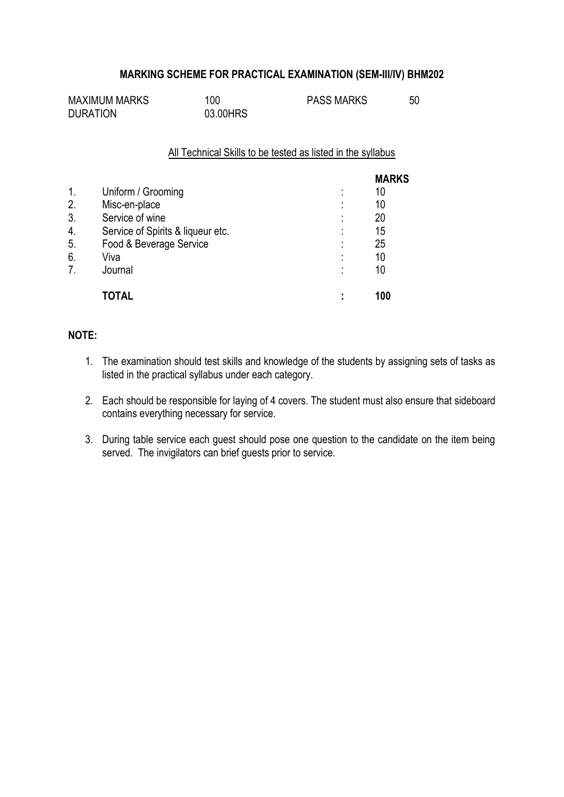## **MARKING SCHEME FOR PRACTICAL EXAMINATION (SEM-III/IV) BHM202**

| <b>MAXIMUM MARKS</b> | 100      | <b>PASS MARKS</b> | 50 |
|----------------------|----------|-------------------|----|
| <b>DURATION</b>      | 03.00HRS |                   |    |

#### All Technical Skills to be tested as listed in the syllabus

|                |                                   |                     | <b>MARKS</b> |
|----------------|-----------------------------------|---------------------|--------------|
| $\mathbf{1}$ . | Uniform / Grooming                | ٠<br>$\blacksquare$ | 10           |
| 2.             | Misc-en-place                     | ٠<br>$\blacksquare$ | 10           |
| 3.             | Service of wine                   | ٠                   | 20           |
| 4.             | Service of Spirits & liqueur etc. | ٠                   | 15           |
| 5.             | Food & Beverage Service           | ٠<br>$\blacksquare$ | 25           |
| 6.             | Viva                              | ٠                   | 10           |
| 7.             | Journal                           | ٠                   | 10           |
|                | <b>TOTAL</b>                      | ٠                   | 100          |

# **NOTE:**

- 1. The examination should test skills and knowledge of the students by assigning sets of tasks as listed in the practical syllabus under each category.
- 2. Each should be responsible for laying of 4 covers. The student must also ensure that sideboard contains everything necessary for service.
- 3. During table service each guest should pose one question to the candidate on the item being served. The invigilators can brief guests prior to service.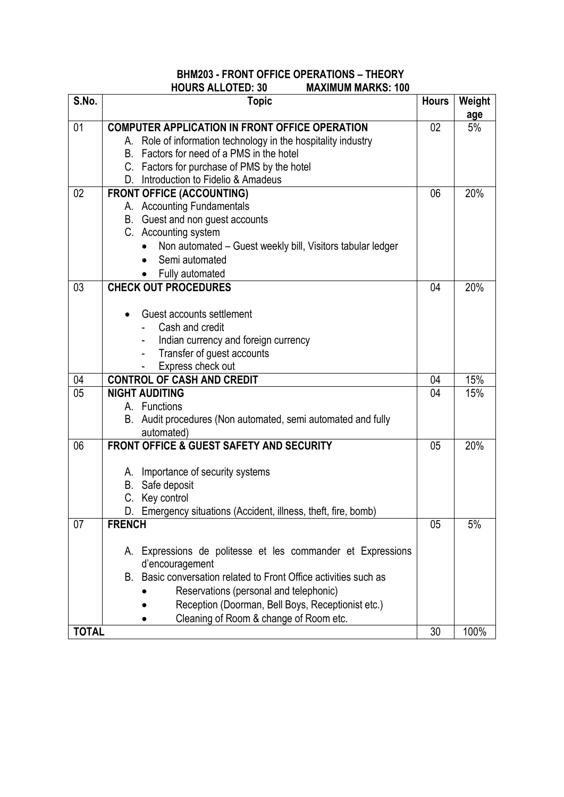# **BHM203 - FRONT OFFICE OPERATIONS – THEORY HOURS ALLOTED: 30**

| S.No.                 | <b>Topic</b>                                                                                               | <b>Hours</b> | Weight     |
|-----------------------|------------------------------------------------------------------------------------------------------------|--------------|------------|
|                       |                                                                                                            |              | age        |
| 01                    | <b>COMPUTER APPLICATION IN FRONT OFFICE OPERATION</b>                                                      | 02           | 5%         |
|                       | A. Role of information technology in the hospitality industry<br>B. Factors for need of a PMS in the hotel |              |            |
|                       | C. Factors for purchase of PMS by the hotel                                                                |              |            |
|                       | D. Introduction to Fidelio & Amadeus                                                                       |              |            |
| 02                    | <b>FRONT OFFICE (ACCOUNTING)</b>                                                                           | 06           | 20%        |
|                       | A. Accounting Fundamentals                                                                                 |              |            |
|                       | B. Guest and non guest accounts                                                                            |              |            |
|                       | C. Accounting system                                                                                       |              |            |
|                       | Non automated - Guest weekly bill, Visitors tabular ledger                                                 |              |            |
|                       | Semi automated                                                                                             |              |            |
|                       | Fully automated                                                                                            |              |            |
| 03                    | <b>CHECK OUT PROCEDURES</b>                                                                                | 04           | 20%        |
|                       |                                                                                                            |              |            |
|                       | Guest accounts settlement                                                                                  |              |            |
|                       | Cash and credit                                                                                            |              |            |
|                       | Indian currency and foreign currency                                                                       |              |            |
|                       | Transfer of guest accounts                                                                                 |              |            |
|                       | Express check out<br><b>CONTROL OF CASH AND CREDIT</b>                                                     |              |            |
| 04<br>$\overline{05}$ | <b>NIGHT AUDITING</b>                                                                                      | 04<br>04     | 15%<br>15% |
|                       | A. Functions                                                                                               |              |            |
|                       | B. Audit procedures (Non automated, semi automated and fully                                               |              |            |
|                       | automated)                                                                                                 |              |            |
| 06                    | <b>FRONT OFFICE &amp; GUEST SAFETY AND SECURITY</b>                                                        | 05           | 20%        |
|                       |                                                                                                            |              |            |
|                       | A. Importance of security systems                                                                          |              |            |
|                       | Safe deposit<br>В.                                                                                         |              |            |
|                       | C. Key control                                                                                             |              |            |
|                       | D.<br>Emergency situations (Accident, illness, theft, fire, bomb)                                          |              |            |
| 07                    | <b>FRENCH</b>                                                                                              | 05           | 5%         |
|                       | Expressions de politesse et les commander et Expressions<br>А.                                             |              |            |
|                       | d'encouragement                                                                                            |              |            |
|                       | Basic conversation related to Front Office activities such as<br>В.                                        |              |            |
|                       | Reservations (personal and telephonic)                                                                     |              |            |
|                       | Reception (Doorman, Bell Boys, Receptionist etc.)                                                          |              |            |
|                       | Cleaning of Room & change of Room etc.                                                                     |              |            |
| <b>TOTAL</b>          |                                                                                                            | 30           | 100%       |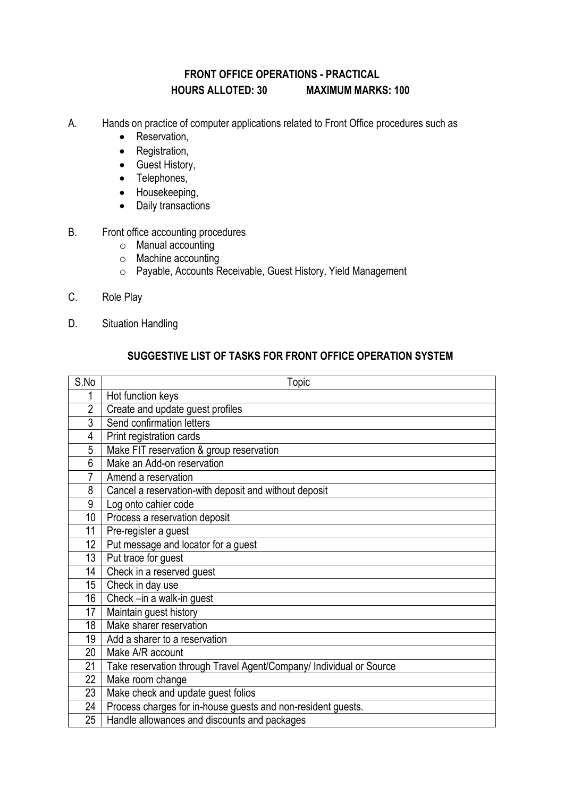# **FRONT OFFICE OPERATIONS - PRACTICAL HOURS ALLOTED: 30 MAXIMUM MARKS: 100**

- A. Hands on practice of computer applications related to Front Office procedures such as
	- Reservation,
	- Registration,
	- Guest History,
	- Telephones,
	- Housekeeping,
	- Daily transactions
- B. Front office accounting procedures
	- o Manual accounting
	- o Machine accounting
	- o Payable, Accounts Receivable, Guest History, Yield Management
- C. Role Play
- D. Situation Handling

# **SUGGESTIVE LIST OF TASKS FOR FRONT OFFICE OPERATION SYSTEM**

| S.No            | Topic                                                               |
|-----------------|---------------------------------------------------------------------|
| 1               | Hot function keys                                                   |
| $\overline{2}$  | Create and update guest profiles                                    |
| 3               | Send confirmation letters                                           |
| 4               | Print registration cards                                            |
| 5               | Make FIT reservation & group reservation                            |
| 6               | Make an Add-on reservation                                          |
| 7               | Amend a reservation                                                 |
| 8               | Cancel a reservation-with deposit and without deposit               |
| 9               | Log onto cahier code                                                |
| 10 <sup>1</sup> | Process a reservation deposit                                       |
| 11              | Pre-register a guest                                                |
| 12              | Put message and locator for a guest                                 |
| 13              | Put trace for guest                                                 |
| 14              | Check in a reserved guest                                           |
| 15 <sup>2</sup> | Check in day use                                                    |
| 16              | Check -in a walk-in guest                                           |
| 17              | Maintain guest history                                              |
| 18              | Make sharer reservation                                             |
| 19              | Add a sharer to a reservation                                       |
| 20              | Make A/R account                                                    |
| 21              | Take reservation through Travel Agent/Company/ Individual or Source |
| 22              | Make room change                                                    |
| 23              | Make check and update guest folios                                  |
| 24              | Process charges for in-house guests and non-resident guests.        |
| 25              | Handle allowances and discounts and packages                        |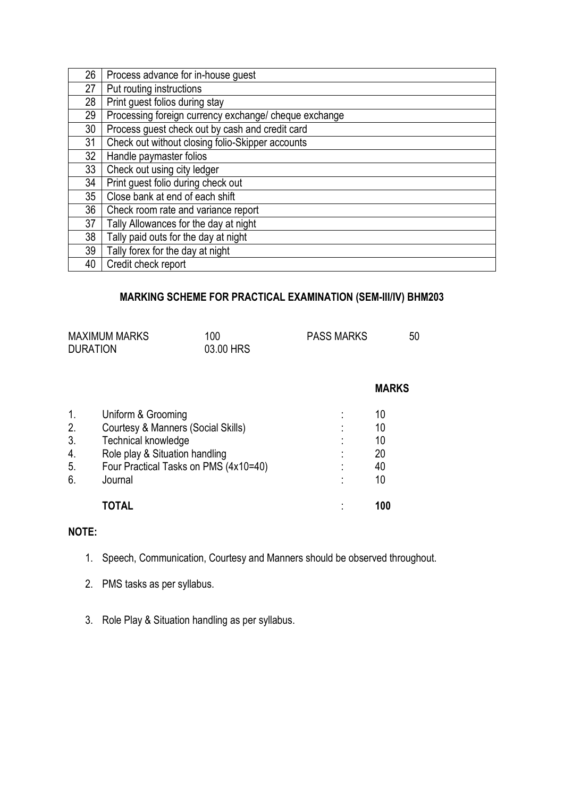| 26 | Process advance for in-house guest                    |
|----|-------------------------------------------------------|
| 27 | Put routing instructions                              |
| 28 | Print guest folios during stay                        |
| 29 | Processing foreign currency exchange/ cheque exchange |
| 30 | Process guest check out by cash and credit card       |
| 31 | Check out without closing folio-Skipper accounts      |
| 32 | Handle paymaster folios                               |
| 33 | Check out using city ledger                           |
| 34 | Print guest folio during check out                    |
| 35 | Close bank at end of each shift                       |
| 36 | Check room rate and variance report                   |
| 37 | Tally Allowances for the day at night                 |
| 38 | Tally paid outs for the day at night                  |
| 39 | Tally forex for the day at night                      |
| 40 | Credit check report                                   |

# **MARKING SCHEME FOR PRACTICAL EXAMINATION (SEM-III/IV) BHM203**

| <b>DURATION</b> | <b>MAXIMUM MARKS</b>                  | 100<br>03.00 HRS | <b>PASS MARKS</b> | 50           |
|-----------------|---------------------------------------|------------------|-------------------|--------------|
|                 |                                       |                  |                   | <b>MARKS</b> |
| $\mathbf{1}$ .  | Uniform & Grooming                    |                  |                   | 10           |
| 2.              | Courtesy & Manners (Social Skills)    |                  |                   | 10           |
| 3.              | <b>Technical knowledge</b>            |                  |                   | 10           |
| 4.              | Role play & Situation handling        |                  |                   | 20           |
| 5.              | Four Practical Tasks on PMS (4x10=40) |                  |                   | 40           |
| 6.              | Journal                               |                  |                   | 10           |
|                 | <b>IOIAL</b>                          |                  |                   | 100          |

# **NOTE:**

- 1. Speech, Communication, Courtesy and Manners should be observed throughout.
- 2. PMS tasks as per syllabus.
- 3. Role Play & Situation handling as per syllabus.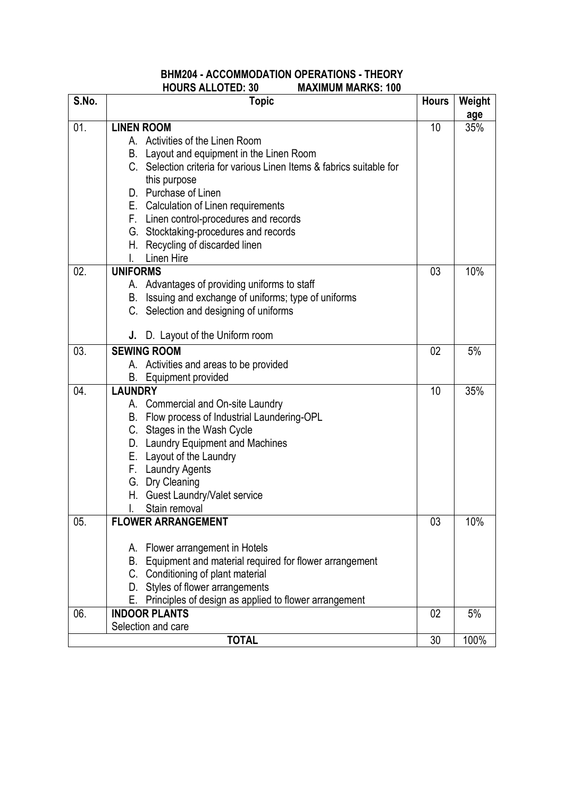## **BHM204 - ACCOMMODATION OPERATIONS - THEORY HOURS ALLOTED: 30 MAXIMUM MARKS: 100**

| S.No. | <b>Topic</b>                                                         | <b>Hours</b> | Weight |
|-------|----------------------------------------------------------------------|--------------|--------|
|       |                                                                      |              | age    |
| 01.   | <b>LINEN ROOM</b>                                                    | 10           | 35%    |
|       | A. Activities of the Linen Room                                      |              |        |
|       | B. Layout and equipment in the Linen Room                            |              |        |
|       | C. Selection criteria for various Linen Items & fabrics suitable for |              |        |
|       | this purpose                                                         |              |        |
|       | D. Purchase of Linen                                                 |              |        |
|       | E. Calculation of Linen requirements                                 |              |        |
|       | F. Linen control-procedures and records                              |              |        |
|       | G. Stocktaking-procedures and records                                |              |        |
|       | H. Recycling of discarded linen<br><b>Linen Hire</b>                 |              |        |
| 02.   | <b>UNIFORMS</b>                                                      | 03           | 10%    |
|       | A. Advantages of providing uniforms to staff                         |              |        |
|       | B. Issuing and exchange of uniforms; type of uniforms                |              |        |
|       | C. Selection and designing of uniforms                               |              |        |
|       |                                                                      |              |        |
|       | D. Layout of the Uniform room<br>J.                                  |              |        |
| 03.   | <b>SEWING ROOM</b>                                                   | 02           | 5%     |
|       | A. Activities and areas to be provided                               |              |        |
|       | <b>B.</b> Equipment provided                                         |              |        |
| 04.   | <b>LAUNDRY</b>                                                       | 10           | 35%    |
|       | A. Commercial and On-site Laundry                                    |              |        |
|       | B. Flow process of Industrial Laundering-OPL                         |              |        |
|       | C. Stages in the Wash Cycle                                          |              |        |
|       | D. Laundry Equipment and Machines                                    |              |        |
|       | E. Layout of the Laundry                                             |              |        |
|       | F. Laundry Agents                                                    |              |        |
|       | G. Dry Cleaning                                                      |              |        |
|       | H. Guest Laundry/Valet service                                       |              |        |
| 05.   | Stain removal<br>I.<br><b>FLOWER ARRANGEMENT</b>                     | 03           | 10%    |
|       |                                                                      |              |        |
|       | A. Flower arrangement in Hotels                                      |              |        |
|       | Equipment and material required for flower arrangement<br>В.         |              |        |
|       | C. Conditioning of plant material                                    |              |        |
|       | Styles of flower arrangements<br>D.                                  |              |        |
|       | Principles of design as applied to flower arrangement<br>Е.          |              |        |
| 06.   | <b>INDOOR PLANTS</b>                                                 | 02           | 5%     |
|       | Selection and care                                                   |              |        |
|       | <b>TOTAL</b>                                                         | 30           | 100%   |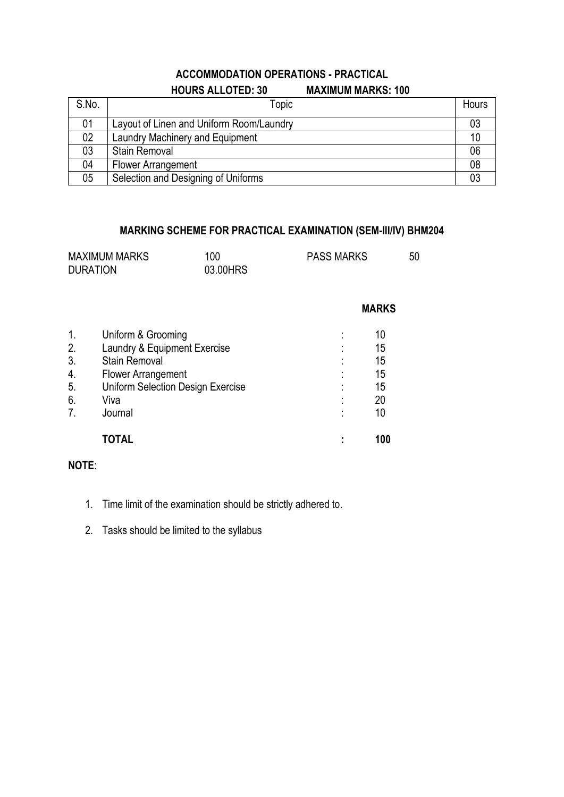# **ACCOMMODATION OPERATIONS - PRACTICAL HOURS ALLOTED: 30 MAXIMUM MARKS: 100**

| S.No. | Topic                                    | Hours |
|-------|------------------------------------------|-------|
| 01    | Layout of Linen and Uniform Room/Laundry | 03    |
| 02    | Laundry Machinery and Equipment          | 10    |
| 03    | <b>Stain Removal</b>                     | 06    |
| 04    | Flower Arrangement                       | 08    |
| 05    | Selection and Designing of Uniforms      |       |

# **MARKING SCHEME FOR PRACTICAL EXAMINATION (SEM-III/IV) BHM204**

| <b>MAXIMUM MARKS</b> | 100      | <b>PASS MARKS</b> | 50 |
|----------------------|----------|-------------------|----|
| <b>DURATION</b>      | 03.00HRS |                   |    |

|                | <b>TOTAL</b>                             |   | 100 |
|----------------|------------------------------------------|---|-----|
| 7 <sub>1</sub> | Journal                                  |   | 10  |
| 6.             | Viva                                     |   | 20  |
| 5.             | <b>Uniform Selection Design Exercise</b> | ٠ | 15  |
| 4.             | <b>Flower Arrangement</b>                |   | 15  |
| 3.             | <b>Stain Removal</b>                     |   | 15  |
| 2.             | Laundry & Equipment Exercise             |   | 15  |
| $\mathbf{1}$ . | Uniform & Grooming                       |   | 10  |
|                |                                          |   |     |

# **NOTE**:

- 1. Time limit of the examination should be strictly adhered to.
- 2. Tasks should be limited to the syllabus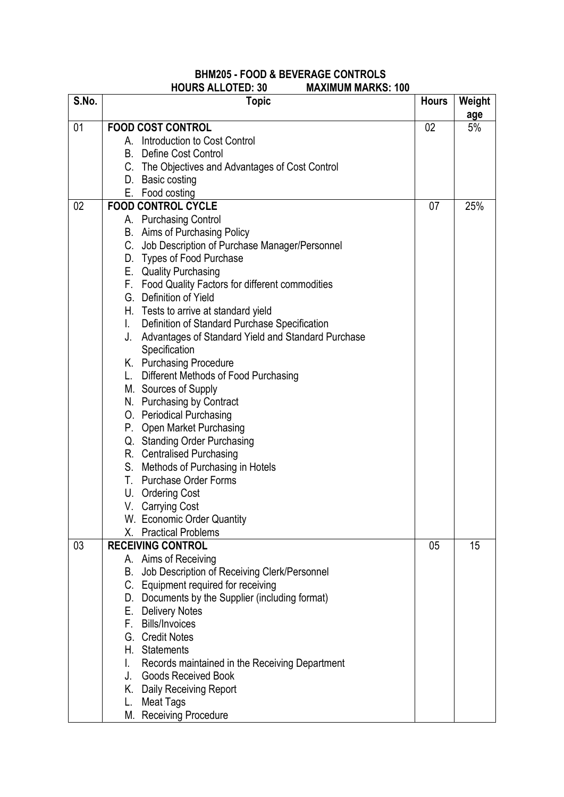#### **BHM205 - FOOD & BEVERAGE CONTROLS HOURS ALLOTED: 30 MAXIMUM MARKS: 100**

| S.No. | ,,,,,,,,,,,<br><b>Topic</b>                            | <b>Hours</b> | Weight |
|-------|--------------------------------------------------------|--------------|--------|
|       |                                                        |              | age    |
| 01    | <b>FOOD COST CONTROL</b>                               | 02           | 5%     |
|       | A. Introduction to Cost Control<br>Define Cost Control |              |        |
|       | В.                                                     |              |        |
|       | C. The Objectives and Advantages of Cost Control       |              |        |
|       | D. Basic costing                                       |              |        |
| 02    | E. Food costing<br><b>FOOD CONTROL CYCLE</b>           | 07           | 25%    |
|       | A. Purchasing Control                                  |              |        |
|       | B. Aims of Purchasing Policy                           |              |        |
|       | C. Job Description of Purchase Manager/Personnel       |              |        |
|       | D. Types of Food Purchase                              |              |        |
|       | E. Quality Purchasing                                  |              |        |
|       | F. Food Quality Factors for different commodities      |              |        |
|       | G. Definition of Yield                                 |              |        |
|       | H. Tests to arrive at standard yield                   |              |        |
|       | Definition of Standard Purchase Specification<br>L.    |              |        |
|       | J. Advantages of Standard Yield and Standard Purchase  |              |        |
|       | Specification                                          |              |        |
|       | K. Purchasing Procedure                                |              |        |
|       | L. Different Methods of Food Purchasing                |              |        |
|       | M. Sources of Supply                                   |              |        |
|       | N. Purchasing by Contract                              |              |        |
|       | O. Periodical Purchasing                               |              |        |
|       | P. Open Market Purchasing                              |              |        |
|       | Q. Standing Order Purchasing                           |              |        |
|       | R. Centralised Purchasing                              |              |        |
|       | S. Methods of Purchasing in Hotels                     |              |        |
|       | T. Purchase Order Forms                                |              |        |
|       | U. Ordering Cost                                       |              |        |
|       | V. Carrying Cost                                       |              |        |
|       | W. Economic Order Quantity                             |              |        |
|       | X. Practical Problems                                  |              |        |
| 03    | <b>RECEIVING CONTROL</b>                               | 05           | 15     |
|       | A. Aims of Receiving                                   |              |        |
|       | B. Job Description of Receiving Clerk/Personnel        |              |        |
|       | C. Equipment required for receiving                    |              |        |
|       | D. Documents by the Supplier (including format)        |              |        |
|       | E. Delivery Notes                                      |              |        |
|       | F. Bills/Invoices                                      |              |        |
|       | G. Credit Notes                                        |              |        |
|       | H. Statements                                          |              |        |
|       | I.<br>Records maintained in the Receiving Department   |              |        |
|       | J.<br><b>Goods Received Book</b>                       |              |        |
|       | K. Daily Receiving Report                              |              |        |
|       | <b>Meat Tags</b><br>L.                                 |              |        |
|       | M. Receiving Procedure                                 |              |        |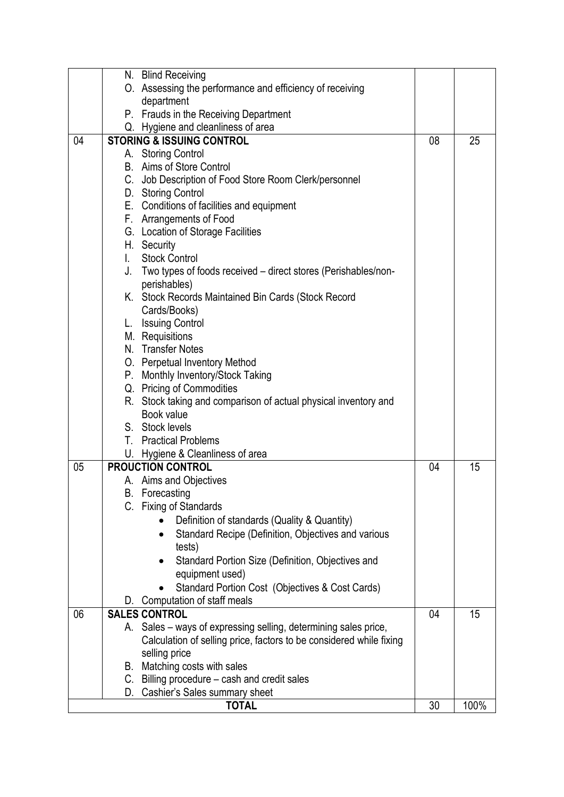|    | N. Blind Receiving                                                               |    |      |
|----|----------------------------------------------------------------------------------|----|------|
|    | O. Assessing the performance and efficiency of receiving                         |    |      |
|    | department                                                                       |    |      |
|    | P. Frauds in the Receiving Department                                            |    |      |
|    | Q. Hygiene and cleanliness of area                                               |    |      |
| 04 | <b>STORING &amp; ISSUING CONTROL</b>                                             | 08 | 25   |
|    | A. Storing Control                                                               |    |      |
|    | B. Aims of Store Control                                                         |    |      |
|    | C. Job Description of Food Store Room Clerk/personnel                            |    |      |
|    | D. Storing Control                                                               |    |      |
|    | E. Conditions of facilities and equipment                                        |    |      |
|    | F. Arrangements of Food                                                          |    |      |
|    | G. Location of Storage Facilities                                                |    |      |
|    | H. Security                                                                      |    |      |
|    | <b>Stock Control</b><br>$\mathbf{L}$                                             |    |      |
|    | J. Two types of foods received – direct stores (Perishables/non-                 |    |      |
|    | perishables)                                                                     |    |      |
|    | K. Stock Records Maintained Bin Cards (Stock Record                              |    |      |
|    | Cards/Books)                                                                     |    |      |
|    | L. Issuing Control                                                               |    |      |
|    | M. Requisitions                                                                  |    |      |
|    | N. Transfer Notes                                                                |    |      |
|    | O. Perpetual Inventory Method                                                    |    |      |
|    | P. Monthly Inventory/Stock Taking                                                |    |      |
|    | Q. Pricing of Commodities                                                        |    |      |
|    | R. Stock taking and comparison of actual physical inventory and                  |    |      |
|    | Book value<br>S. Stock levels                                                    |    |      |
|    | T. Practical Problems                                                            |    |      |
|    | U. Hygiene & Cleanliness of area                                                 |    |      |
| 05 | <b>PROUCTION CONTROL</b>                                                         | 04 | 15   |
|    | A. Aims and Objectives                                                           |    |      |
|    | <b>B.</b> Forecasting                                                            |    |      |
|    | C. Fixing of Standards                                                           |    |      |
|    | Definition of standards (Quality & Quantity)                                     |    |      |
|    | Standard Recipe (Definition, Objectives and various                              |    |      |
|    | tests)                                                                           |    |      |
|    | Standard Portion Size (Definition, Objectives and                                |    |      |
|    | equipment used)                                                                  |    |      |
|    |                                                                                  |    |      |
|    | Standard Portion Cost (Objectives & Cost Cards)<br>D. Computation of staff meals |    |      |
| 06 | <b>SALES CONTROL</b>                                                             | 04 | 15   |
|    | A. Sales – ways of expressing selling, determining sales price,                  |    |      |
|    | Calculation of selling price, factors to be considered while fixing              |    |      |
|    | selling price                                                                    |    |      |
|    | B. Matching costs with sales                                                     |    |      |
|    | C. Billing procedure – cash and credit sales                                     |    |      |
|    | D. Cashier's Sales summary sheet                                                 |    |      |
|    | <b>TOTAL</b>                                                                     | 30 | 100% |
|    |                                                                                  |    |      |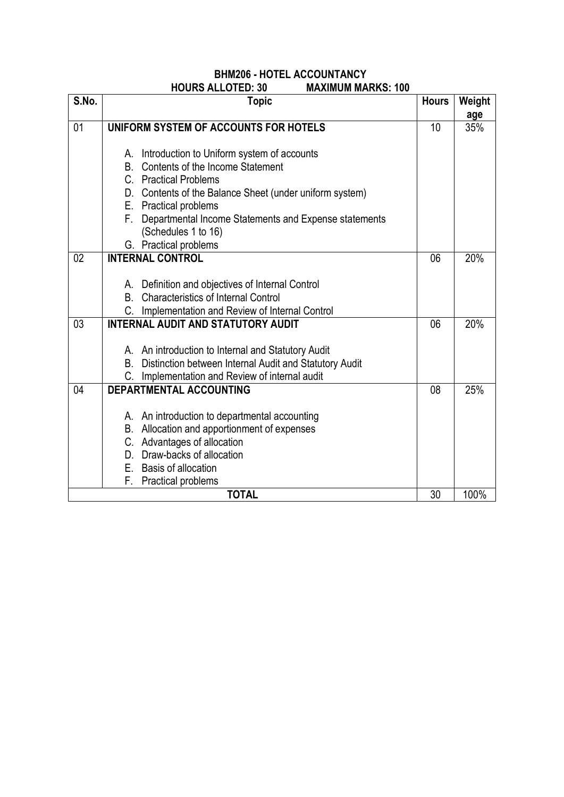# **BHM206 - HOTEL ACCOUNTANCY HOURS ALLOTED: 30 MAXIMUM MARKS: 100**

| S.No. | <b>Topic</b>                                                                     | <b>Hours</b> | Weight |
|-------|----------------------------------------------------------------------------------|--------------|--------|
|       |                                                                                  |              | age    |
| 01    | UNIFORM SYSTEM OF ACCOUNTS FOR HOTELS                                            | 10           | 35%    |
|       |                                                                                  |              |        |
|       | A. Introduction to Uniform system of accounts                                    |              |        |
|       | Contents of the Income Statement<br>В.                                           |              |        |
|       | C. Practical Problems                                                            |              |        |
|       | D. Contents of the Balance Sheet (under uniform system)<br>E. Practical problems |              |        |
|       | Departmental Income Statements and Expense statements<br>F.                      |              |        |
|       | (Schedules 1 to 16)                                                              |              |        |
|       | G. Practical problems                                                            |              |        |
| 02    | <b>INTERNAL CONTROL</b>                                                          | 06           | 20%    |
|       |                                                                                  |              |        |
|       | A. Definition and objectives of Internal Control                                 |              |        |
|       | <b>Characteristics of Internal Control</b><br><b>B.</b>                          |              |        |
|       | C.<br>Implementation and Review of Internal Control                              |              |        |
| 03    | <b>INTERNAL AUDIT AND STATUTORY AUDIT</b>                                        | 06           | 20%    |
|       |                                                                                  |              |        |
|       | A. An introduction to Internal and Statutory Audit                               |              |        |
|       | B. Distinction between Internal Audit and Statutory Audit                        |              |        |
|       | Implementation and Review of internal audit                                      |              |        |
| 04    | <b>DEPARTMENTAL ACCOUNTING</b>                                                   | 08           | 25%    |
|       |                                                                                  |              |        |
|       | A. An introduction to departmental accounting                                    |              |        |
|       | B. Allocation and apportionment of expenses                                      |              |        |
|       | C. Advantages of allocation                                                      |              |        |
|       | D. Draw-backs of allocation                                                      |              |        |
|       | E. Basis of allocation                                                           |              |        |
|       | F.<br>Practical problems                                                         |              |        |
|       | <b>TOTAL</b>                                                                     | 30           | 100%   |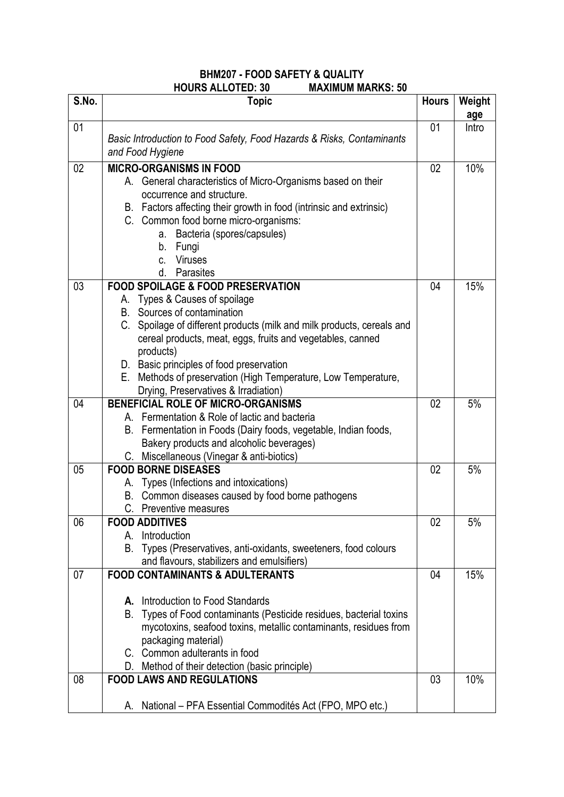# **BHM207 - FOOD SAFETY & QUALITY HOURS ALLOTED: 30**

| S.No. | <b>Topic</b>                                                                                                                               | <b>Hours</b> | Weight       |
|-------|--------------------------------------------------------------------------------------------------------------------------------------------|--------------|--------------|
| 01    |                                                                                                                                            | 01           | age<br>Intro |
|       | Basic Introduction to Food Safety, Food Hazards & Risks, Contaminants<br>and Food Hygiene                                                  |              |              |
| 02    | <b>MICRO-ORGANISMS IN FOOD</b>                                                                                                             | 02           | $10\%$       |
|       | A. General characteristics of Micro-Organisms based on their                                                                               |              |              |
|       | occurrence and structure.                                                                                                                  |              |              |
|       | B. Factors affecting their growth in food (intrinsic and extrinsic)<br>C. Common food borne micro-organisms:                               |              |              |
|       | Bacteria (spores/capsules)<br>a.                                                                                                           |              |              |
|       | b.<br>Fungi                                                                                                                                |              |              |
|       | <b>Viruses</b><br>$C_{-}$                                                                                                                  |              |              |
|       | Parasites<br>d.                                                                                                                            |              |              |
| 03    | <b>FOOD SPOILAGE &amp; FOOD PRESERVATION</b>                                                                                               | 04           | 15%          |
|       | A. Types & Causes of spoilage                                                                                                              |              |              |
|       | B. Sources of contamination<br>C. Spoilage of different products (milk and milk products, cereals and                                      |              |              |
|       | cereal products, meat, eggs, fruits and vegetables, canned                                                                                 |              |              |
|       | products)                                                                                                                                  |              |              |
|       | D. Basic principles of food preservation                                                                                                   |              |              |
|       | E. Methods of preservation (High Temperature, Low Temperature,                                                                             |              |              |
|       | Drying, Preservatives & Irradiation)                                                                                                       |              |              |
| 04    | <b>BENEFICIAL ROLE OF MICRO-ORGANISMS</b><br>A. Fermentation & Role of lactic and bacteria                                                 | 02           | 5%           |
|       | B. Fermentation in Foods (Dairy foods, vegetable, Indian foods,                                                                            |              |              |
|       | Bakery products and alcoholic beverages)                                                                                                   |              |              |
|       | C. Miscellaneous (Vinegar & anti-biotics)                                                                                                  |              |              |
| 05    | <b>FOOD BORNE DISEASES</b>                                                                                                                 | 02           | 5%           |
|       | A. Types (Infections and intoxications)                                                                                                    |              |              |
|       | B. Common diseases caused by food borne pathogens                                                                                          |              |              |
|       | C. Preventive measures                                                                                                                     |              |              |
| 06    | <b>FOOD ADDITIVES</b><br>Introduction<br>А.                                                                                                | 02           | 5%           |
|       | Types (Preservatives, anti-oxidants, sweeteners, food colours<br>В.                                                                        |              |              |
|       | and flavours, stabilizers and emulsifiers)                                                                                                 |              |              |
| 07    | <b>FOOD CONTAMINANTS &amp; ADULTERANTS</b>                                                                                                 | 04           | 15%          |
|       |                                                                                                                                            |              |              |
|       | A. Introduction to Food Standards                                                                                                          |              |              |
|       | Types of Food contaminants (Pesticide residues, bacterial toxins<br>В.<br>mycotoxins, seafood toxins, metallic contaminants, residues from |              |              |
|       | packaging material)                                                                                                                        |              |              |
|       | C. Common adulterants in food                                                                                                              |              |              |
|       | D. Method of their detection (basic principle)                                                                                             |              |              |
| 08    | <b>FOOD LAWS AND REGULATIONS</b>                                                                                                           | 03           | 10%          |
|       |                                                                                                                                            |              |              |
|       | A. National – PFA Essential Commodités Act (FPO, MPO etc.)                                                                                 |              |              |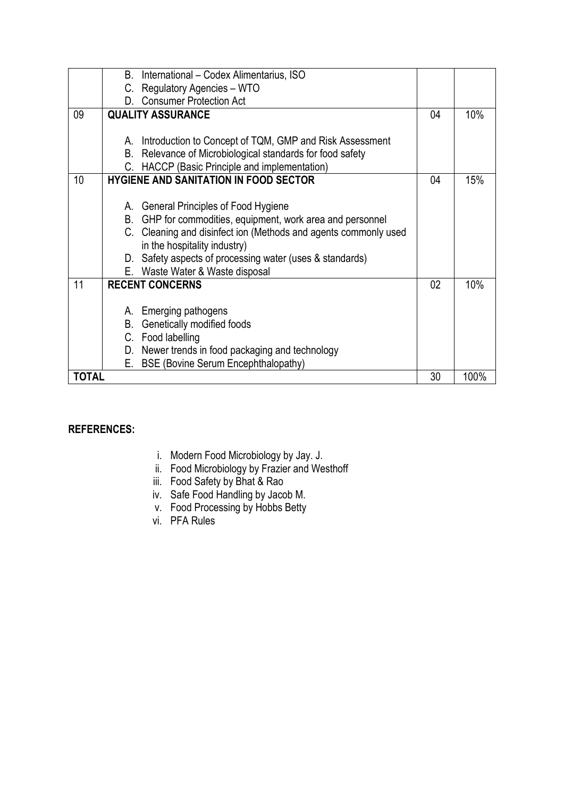|              | B. International – Codex Alimentarius, ISO                      |    |      |
|--------------|-----------------------------------------------------------------|----|------|
|              | Regulatory Agencies - WTO<br>C.                                 |    |      |
|              | <b>Consumer Protection Act</b><br>D.                            |    |      |
| 09           | <b>QUALITY ASSURANCE</b>                                        | 04 | 10%  |
|              |                                                                 |    |      |
|              | A. Introduction to Concept of TQM, GMP and Risk Assessment      |    |      |
|              | B. Relevance of Microbiological standards for food safety       |    |      |
|              | C. HACCP (Basic Principle and implementation)                   |    |      |
| 10           | <b>HYGIENE AND SANITATION IN FOOD SECTOR</b>                    | 04 | 15%  |
|              |                                                                 |    |      |
|              | A. General Principles of Food Hygiene                           |    |      |
|              | B. GHP for commodities, equipment, work area and personnel      |    |      |
|              | C. Cleaning and disinfect ion (Methods and agents commonly used |    |      |
|              | in the hospitality industry)                                    |    |      |
|              | D. Safety aspects of processing water (uses & standards)        |    |      |
|              | E. Waste Water & Waste disposal                                 |    |      |
| 11           | <b>RECENT CONCERNS</b>                                          | 02 | 10%  |
|              |                                                                 |    |      |
|              | A. Emerging pathogens                                           |    |      |
|              | Genetically modified foods<br>В.                                |    |      |
|              | C. Food labelling                                               |    |      |
|              | D. Newer trends in food packaging and technology                |    |      |
|              | <b>BSE (Bovine Serum Encephthalopathy)</b><br>Е.                |    |      |
| <b>TOTAL</b> |                                                                 | 30 | 100% |

## **REFERENCES:**

- i. Modern Food Microbiology by Jay. J.
- ii. Food Microbiology by Frazier and Westhoff
- iii. Food Safety by Bhat & Rao
- iv. Safe Food Handling by Jacob M.
- v. Food Processing by Hobbs Betty
- vi. PFA Rules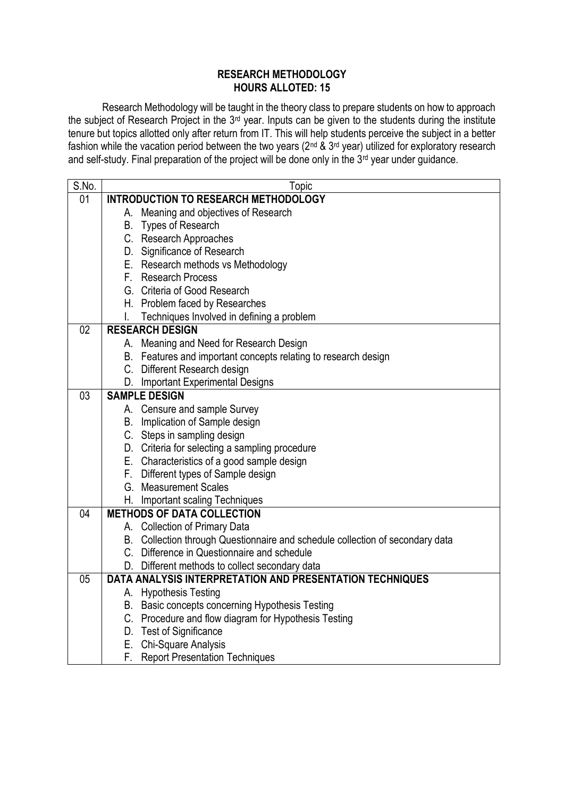#### **RESEARCH METHODOLOGY HOURS ALLOTED: 15**

Research Methodology will be taught in the theory class to prepare students on how to approach the subject of Research Project in the 3rd year. Inputs can be given to the students during the institute tenure but topics allotted only after return from IT. This will help students perceive the subject in a better fashion while the vacation period between the two years (2nd & 3rd year) utilized for exploratory research and self-study. Final preparation of the project will be done only in the 3rd year under guidance.

| S.No. | Topic                                                                                                                        |
|-------|------------------------------------------------------------------------------------------------------------------------------|
| 01    | <b>INTRODUCTION TO RESEARCH METHODOLOGY</b>                                                                                  |
|       | A. Meaning and objectives of Research                                                                                        |
|       | B. Types of Research                                                                                                         |
|       | C. Research Approaches                                                                                                       |
|       | D. Significance of Research                                                                                                  |
|       | E. Research methods vs Methodology                                                                                           |
|       | F. Research Process                                                                                                          |
|       | G. Criteria of Good Research                                                                                                 |
|       | H. Problem faced by Researches                                                                                               |
|       | Techniques Involved in defining a problem                                                                                    |
| 02    | <b>RESEARCH DESIGN</b>                                                                                                       |
|       | A. Meaning and Need for Research Design                                                                                      |
|       | B. Features and important concepts relating to research design                                                               |
|       | C. Different Research design                                                                                                 |
|       | D. Important Experimental Designs                                                                                            |
| 03    | <b>SAMPLE DESIGN</b>                                                                                                         |
|       | A. Censure and sample Survey                                                                                                 |
|       | B. Implication of Sample design                                                                                              |
|       | C. Steps in sampling design                                                                                                  |
|       | D. Criteria for selecting a sampling procedure                                                                               |
|       | E. Characteristics of a good sample design                                                                                   |
|       | F. Different types of Sample design                                                                                          |
|       | G. Measurement Scales                                                                                                        |
|       | H. Important scaling Techniques                                                                                              |
| 04    | <b>METHODS OF DATA COLLECTION</b>                                                                                            |
|       | A. Collection of Primary Data                                                                                                |
|       | B. Collection through Questionnaire and schedule collection of secondary data<br>C. Difference in Questionnaire and schedule |
|       |                                                                                                                              |
| 05    | D. Different methods to collect secondary data<br>DATA ANALYSIS INTERPRETATION AND PRESENTATION TECHNIQUES                   |
|       | A. Hypothesis Testing                                                                                                        |
|       | B. Basic concepts concerning Hypothesis Testing                                                                              |
|       | C. Procedure and flow diagram for Hypothesis Testing                                                                         |
|       | D. Test of Significance                                                                                                      |
|       | E. Chi-Square Analysis                                                                                                       |
|       | F. Report Presentation Techniques                                                                                            |
|       |                                                                                                                              |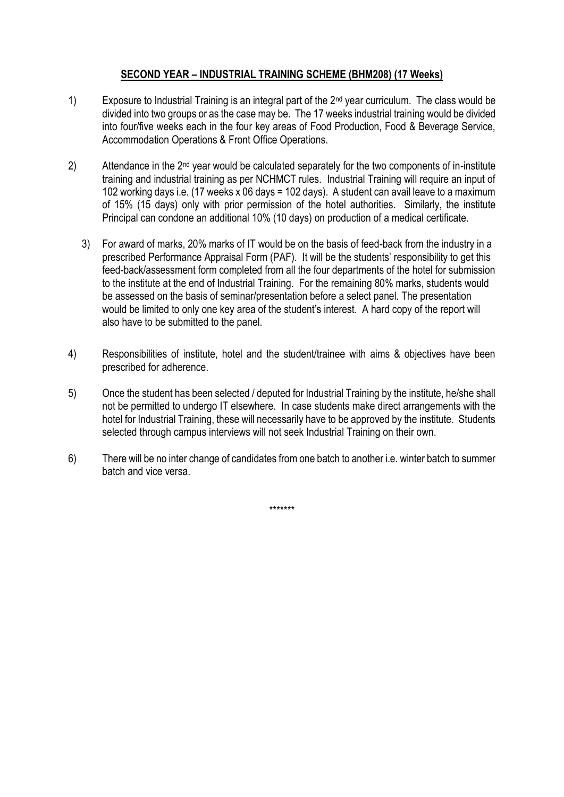# **SECOND YEAR – INDUSTRIAL TRAINING SCHEME (BHM208) (17 Weeks)**

- 1) Exposure to Industrial Training is an integral part of the 2<sup>nd</sup> year curriculum. The class would be divided into two groups or as the case may be. The 17 weeks industrial training would be divided into four/five weeks each in the four key areas of Food Production, Food & Beverage Service, Accommodation Operations & Front Office Operations.
- 2) Attendance in the 2<sup>nd</sup> year would be calculated separately for the two components of in-institute training and industrial training as per NCHMCT rules. Industrial Training will require an input of 102 working days i.e. (17 weeks x 06 days = 102 days). A student can avail leave to a maximum of 15% (15 days) only with prior permission of the hotel authorities. Similarly, the institute Principal can condone an additional 10% (10 days) on production of a medical certificate.
	- 3) For award of marks, 20% marks of IT would be on the basis of feed-back from the industry in a prescribed Performance Appraisal Form (PAF). It will be the students' responsibility to get this feed-back/assessment form completed from all the four departments of the hotel for submission to the institute at the end of Industrial Training. For the remaining 80% marks, students would be assessed on the basis of seminar/presentation before a select panel. The presentation would be limited to only one key area of the student's interest. A hard copy of the report will also have to be submitted to the panel.
- 4) Responsibilities of institute, hotel and the student/trainee with aims & objectives have been prescribed for adherence.
- 5) Once the student has been selected / deputed for Industrial Training by the institute, he/she shall not be permitted to undergo IT elsewhere. In case students make direct arrangements with the hotel for Industrial Training, these will necessarily have to be approved by the institute. Students selected through campus interviews will not seek Industrial Training on their own.
- 6) There will be no inter change of candidates from one batch to another i.e. winter batch to summer batch and vice versa.

\*\*\*\*\*\*\*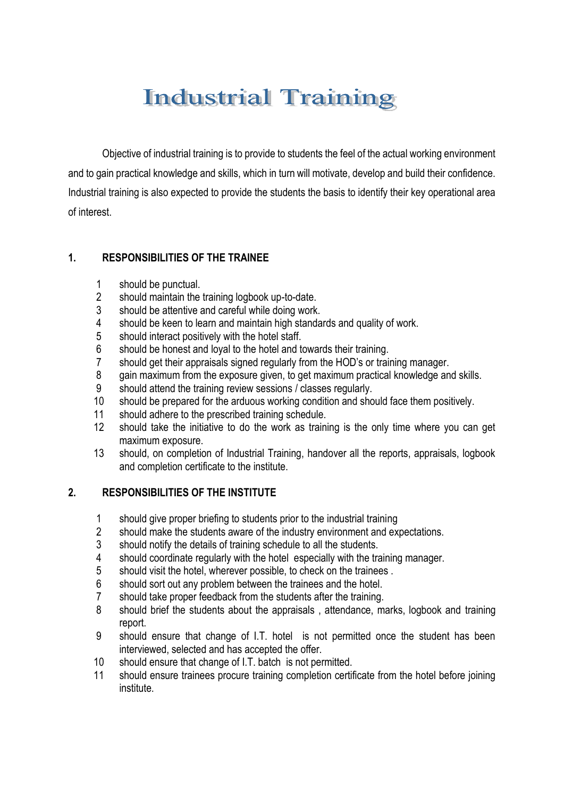# **Industrial Training**

Objective of industrial training is to provide to students the feel of the actual working environment and to gain practical knowledge and skills, which in turn will motivate, develop and build their confidence. Industrial training is also expected to provide the students the basis to identify their key operational area of interest.

# **1. RESPONSIBILITIES OF THE TRAINEE**

- should be punctual.
- should maintain the training logbook up-to-date.
- should be attentive and careful while doing work.
- should be keen to learn and maintain high standards and quality of work.
- should interact positively with the hotel staff.
- should be honest and loyal to the hotel and towards their training.
- should get their appraisals signed regularly from the HOD's or training manager.
- gain maximum from the exposure given, to get maximum practical knowledge and skills.
- should attend the training review sessions / classes regularly.
- should be prepared for the arduous working condition and should face them positively.
- should adhere to the prescribed training schedule.
- should take the initiative to do the work as training is the only time where you can get maximum exposure.
- should, on completion of Industrial Training, handover all the reports, appraisals, logbook and completion certificate to the institute.

## **2. RESPONSIBILITIES OF THE INSTITUTE**

- should give proper briefing to students prior to the industrial training
- should make the students aware of the industry environment and expectations.
- should notify the details of training schedule to all the students.
- should coordinate regularly with the hotel especially with the training manager.
- should visit the hotel, wherever possible, to check on the trainees .
- should sort out any problem between the trainees and the hotel.
- should take proper feedback from the students after the training.
- should brief the students about the appraisals , attendance, marks, logbook and training report.
- should ensure that change of I.T. hotel is not permitted once the student has been interviewed, selected and has accepted the offer.
- should ensure that change of I.T. batch is not permitted.
- should ensure trainees procure training completion certificate from the hotel before joining institute.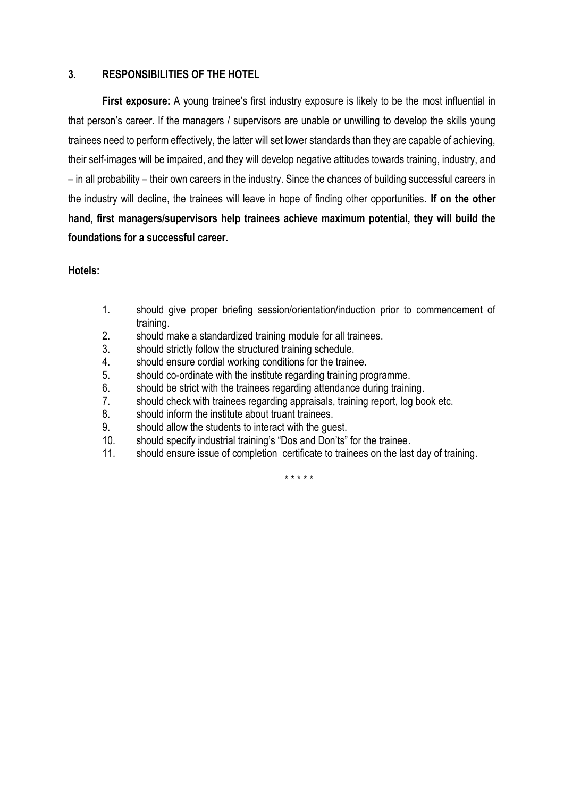## **3. RESPONSIBILITIES OF THE HOTEL**

**First exposure:** A young trainee's first industry exposure is likely to be the most influential in that person's career. If the managers / supervisors are unable or unwilling to develop the skills young trainees need to perform effectively, the latter will set lower standards than they are capable of achieving, their self-images will be impaired, and they will develop negative attitudes towards training, industry, and – in all probability – their own careers in the industry. Since the chances of building successful careers in the industry will decline, the trainees will leave in hope of finding other opportunities. **If on the other hand, first managers/supervisors help trainees achieve maximum potential, they will build the foundations for a successful career.**

## **Hotels:**

- 1. should give proper briefing session/orientation/induction prior to commencement of training.
- 2. should make a standardized training module for all trainees.
- 3. should strictly follow the structured training schedule.
- 4. should ensure cordial working conditions for the trainee.
- 5. should co-ordinate with the institute regarding training programme.
- 6. should be strict with the trainees regarding attendance during training.
- 7. should check with trainees regarding appraisals, training report, log book etc.
- 8. should inform the institute about truant trainees.
- 9. should allow the students to interact with the guest.
- 10. should specify industrial training's "Dos and Don'ts" for the trainee.
- 11. should ensure issue of completion certificate to trainees on the last day of training.

\* \* \* \* \*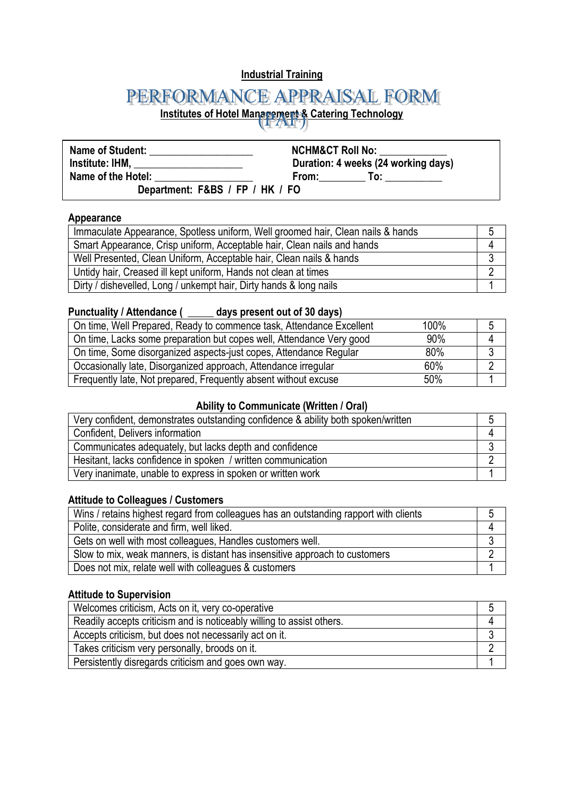# **Industrial Training**

# PERFORMANCE APPRAISAL FORM

**Institutes of Hotel Management & Catering Technology** 

| <b>Name of Student:</b>                                                                                                                                                                                                              | <b>NCHM&amp;CT Roll No:</b>                                                                                           |  |
|--------------------------------------------------------------------------------------------------------------------------------------------------------------------------------------------------------------------------------------|-----------------------------------------------------------------------------------------------------------------------|--|
| <b>Institute: IHM, and all analysis of the control of the control of the control of the control of the control of the control of the control of the control of the control of the control of the control of the control of the c</b> | Duration: 4 weeks (24 working days)                                                                                   |  |
| Name of the Hotel:                                                                                                                                                                                                                   | From: The Second Second Second Second Second Second Second Second Second Second Second Second Second Second Se<br>To: |  |
| Department: F&BS / FP / HK / FO                                                                                                                                                                                                      |                                                                                                                       |  |

#### **Appearance**

| Immaculate Appearance, Spotless uniform, Well groomed hair, Clean nails & hands |  |
|---------------------------------------------------------------------------------|--|
| Smart Appearance, Crisp uniform, Acceptable hair, Clean nails and hands         |  |
| Well Presented, Clean Uniform, Acceptable hair, Clean nails & hands             |  |
| Untidy hair, Creased ill kept uniform, Hands not clean at times                 |  |
| Dirty / dishevelled, Long / unkempt hair, Dirty hands & long nails              |  |

# **Punctuality / Attendance ( \_\_\_\_\_ days present out of 30 days)**

| On time, Well Prepared, Ready to commence task, Attendance Excellent | 100% |  |
|----------------------------------------------------------------------|------|--|
| On time, Lacks some preparation but copes well, Attendance Very good | 90%  |  |
| On time, Some disorganized aspects-just copes, Attendance Regular    | 80%  |  |
| Occasionally late, Disorganized approach, Attendance irregular       | 60%  |  |
| Frequently late, Not prepared, Frequently absent without excuse      | 50%  |  |

# **Ability to Communicate (Written / Oral)**

| Very confident, demonstrates outstanding confidence & ability both spoken/written |  |
|-----------------------------------------------------------------------------------|--|
| Confident, Delivers information                                                   |  |
| Communicates adequately, but lacks depth and confidence                           |  |
| Hesitant, lacks confidence in spoken / written communication                      |  |
| Very inanimate, unable to express in spoken or written work                       |  |

#### **Attitude to Colleagues / Customers**

| Wins / retains highest regard from colleagues has an outstanding rapport with clients | C |
|---------------------------------------------------------------------------------------|---|
| Polite, considerate and firm, well liked.                                             |   |
| Gets on well with most colleagues, Handles customers well.                            |   |
| Slow to mix, weak manners, is distant has insensitive approach to customers           |   |
| Does not mix, relate well with colleagues & customers                                 |   |

#### **Attitude to Supervision**

| Welcomes criticism, Acts on it, very co-operative                     |  |
|-----------------------------------------------------------------------|--|
| Readily accepts criticism and is noticeably willing to assist others. |  |
| Accepts criticism, but does not necessarily act on it.                |  |
| Takes criticism very personally, broods on it.                        |  |
| Persistently disregards criticism and goes own way.                   |  |